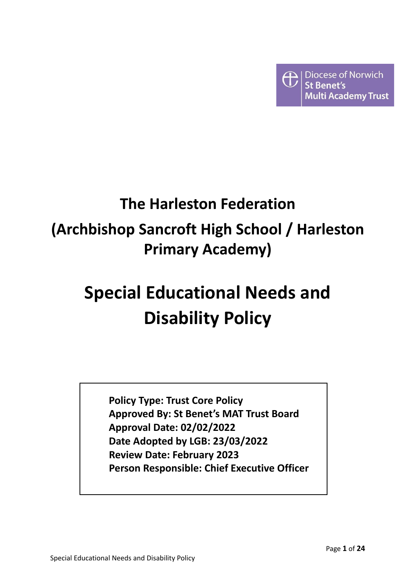

# **The Harleston Federation (Archbishop Sancroft High School / Harleston Primary Academy)**

# **Special Educational Needs and Disability Policy**

**Policy Type: Trust Core Policy Approved By: St Benet's MAT Trust Board Approval Date: 02/02/2022 Date Adopted by LGB: 23/03/2022 Review Date: February 2023 Person Responsible: Chief Executive Officer**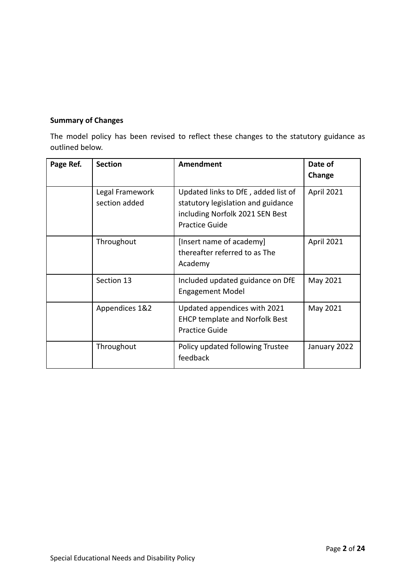# **Summary of Changes**

The model policy has been revised to reflect these changes to the statutory guidance as outlined below.

| Page Ref. | <b>Section</b>                   | Amendment                                                                                                                             | Date of<br>Change |
|-----------|----------------------------------|---------------------------------------------------------------------------------------------------------------------------------------|-------------------|
|           | Legal Framework<br>section added | Updated links to DfE, added list of<br>statutory legislation and guidance<br>including Norfolk 2021 SEN Best<br><b>Practice Guide</b> | April 2021        |
|           | Throughout                       | [Insert name of academy]<br>thereafter referred to as The<br>Academy                                                                  | <b>April 2021</b> |
|           | Section 13                       | Included updated guidance on DfE<br><b>Engagement Model</b>                                                                           | May 2021          |
|           | Appendices 1&2                   | Updated appendices with 2021<br><b>EHCP template and Norfolk Best</b><br><b>Practice Guide</b>                                        | May 2021          |
|           | Throughout                       | Policy updated following Trustee<br>feedback                                                                                          | January 2022      |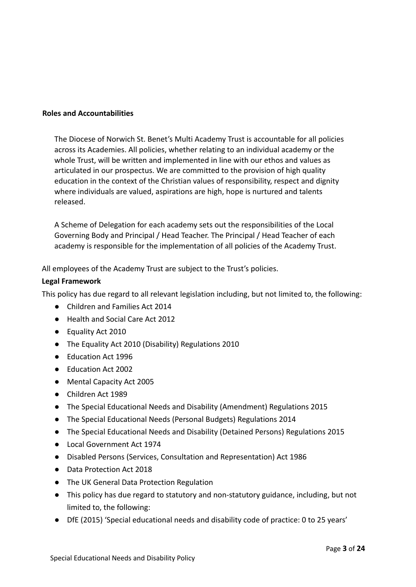#### **Roles and Accountabilities**

The Diocese of Norwich St. Benet's Multi Academy Trust is accountable for all policies across its Academies. All policies, whether relating to an individual academy or the whole Trust, will be written and implemented in line with our ethos and values as articulated in our prospectus. We are committed to the provision of high quality education in the context of the Christian values of responsibility, respect and dignity where individuals are valued, aspirations are high, hope is nurtured and talents released.

A Scheme of Delegation for each academy sets out the responsibilities of the Local Governing Body and Principal / Head Teacher. The Principal / Head Teacher of each academy is responsible for the implementation of all policies of the Academy Trust.

All employees of the Academy Trust are subject to the Trust's policies.

#### **Legal Framework**

This policy has due regard to all relevant legislation including, but not limited to, the following:

- Children and Families Act 2014
- Health and Social Care Act 2012
- Equality Act 2010
- The Equality Act 2010 (Disability) Regulations 2010
- Education Act 1996
- Education Act 2002
- Mental Capacity Act 2005
- Children Act 1989
- The Special Educational Needs and Disability (Amendment) Regulations 2015
- The Special Educational Needs (Personal Budgets) Regulations 2014
- The Special Educational Needs and Disability (Detained Persons) Regulations 2015
- Local Government Act 1974
- Disabled Persons (Services, Consultation and Representation) Act 1986
- Data Protection Act 2018
- The UK General Data Protection Regulation
- This policy has due regard to statutory and non-statutory guidance, including, but not limited to, the following:
- DfE (2015) 'Special educational needs and disability code of practice: 0 to 25 years'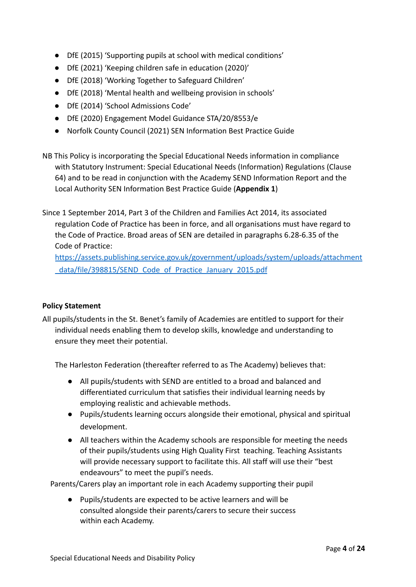- DfE (2015) 'Supporting pupils at school with medical conditions'
- DfE (2021) 'Keeping children safe in education (2020)'
- DfE (2018) 'Working Together to Safeguard Children'
- DfE (2018) 'Mental health and wellbeing provision in schools'
- DfE (2014) 'School Admissions Code'
- DfE (2020) Engagement Model Guidance STA/20/8553/e
- Norfolk County Council (2021) SEN Information Best Practice Guide
- NB This Policy is incorporating the Special Educational Needs information in compliance with Statutory Instrument: Special Educational Needs (Information) Regulations (Clause 64) and to be read in conjunction with the Academy SEND Information Report and the Local Authority SEN Information Best Practice Guide (**Appendix 1**)
- Since 1 September 2014, Part 3 of the Children and Families Act 2014, its associated regulation Code of Practice has been in force, and all organisations must have regard to the Code of Practice. Broad areas of SEN are detailed in paragraphs 6.28-6.35 of the Code of Practice:

[https://assets.publishing.service.gov.uk/government/uploads/system/uploads/attachment](https://assets.publishing.service.gov.uk/government/uploads/system/uploads/attachment_data/file/398815/SEND_Code_of_Practice_January_2015.pdf) [\\_data/file/398815/SEND\\_Code\\_of\\_Practice\\_January\\_2015.pdf](https://assets.publishing.service.gov.uk/government/uploads/system/uploads/attachment_data/file/398815/SEND_Code_of_Practice_January_2015.pdf)

#### **Policy Statement**

All pupils/students in the St. Benet's family of Academies are entitled to support for their individual needs enabling them to develop skills, knowledge and understanding to ensure they meet their potential.

The Harleston Federation (thereafter referred to as The Academy) believes that:

- All pupils/students with SEND are entitled to a broad and balanced and differentiated curriculum that satisfies their individual learning needs by employing realistic and achievable methods.
- Pupils/students learning occurs alongside their emotional, physical and spiritual development.
- All teachers within the Academy schools are responsible for meeting the needs of their pupils/students using High Quality First teaching. Teaching Assistants will provide necessary support to facilitate this. All staff will use their "best endeavours" to meet the pupil's needs.

Parents/Carers play an important role in each Academy supporting their pupil

● Pupils/students are expected to be active learners and will be consulted alongside their parents/carers to secure their success within each Academy.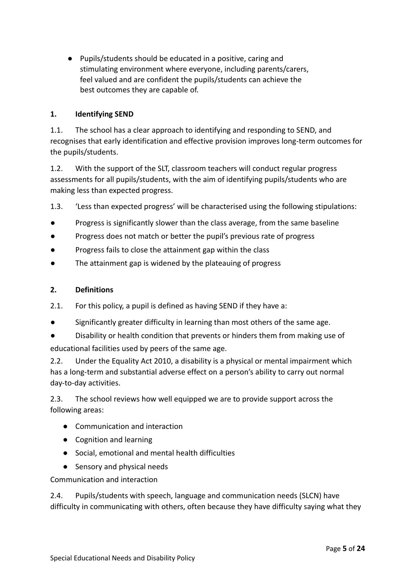● Pupils/students should be educated in a positive, caring and stimulating environment where everyone, including parents/carers, feel valued and are confident the pupils/students can achieve the best outcomes they are capable of.

#### **1. Identifying SEND**

1.1. The school has a clear approach to identifying and responding to SEND, and recognises that early identification and effective provision improves long-term outcomes for the pupils/students.

1.2. With the support of the SLT, classroom teachers will conduct regular progress assessments for all pupils/students, with the aim of identifying pupils/students who are making less than expected progress.

1.3. 'Less than expected progress' will be characterised using the following stipulations:

- Progress is significantly slower than the class average, from the same baseline
- Progress does not match or better the pupil's previous rate of progress
- Progress fails to close the attainment gap within the class
- The attainment gap is widened by the plateauing of progress

#### **2. Definitions**

- 2.1. For this policy, a pupil is defined as having SEND if they have a:
- Significantly greater difficulty in learning than most others of the same age.
- Disability or health condition that prevents or hinders them from making use of educational facilities used by peers of the same age.

2.2. Under the Equality Act 2010, a disability is a physical or mental impairment which has a long-term and substantial adverse effect on a person's ability to carry out normal day-to-day activities.

2.3. The school reviews how well equipped we are to provide support across the following areas:

- Communication and interaction
- Cognition and learning
- Social, emotional and mental health difficulties
- Sensory and physical needs

Communication and interaction

2.4. Pupils/students with speech, language and communication needs (SLCN) have difficulty in communicating with others, often because they have difficulty saying what they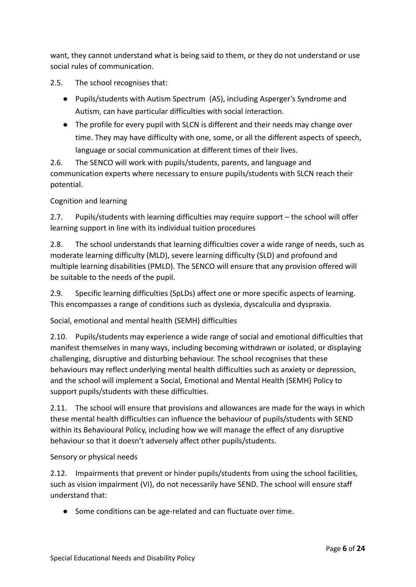want, they cannot understand what is being said to them, or they do not understand or use social rules of communication.

2.5. The school recognises that:

- Pupils/students with Autism Spectrum (AS), including Asperger's Syndrome and Autism, can have particular difficulties with social interaction.
- The profile for every pupil with SLCN is different and their needs may change over time. They may have difficulty with one, some, or all the different aspects of speech, language or social communication at different times of their lives.

2.6. The SENCO will work with pupils/students, parents, and language and communication experts where necessary to ensure pupils/students with SLCN reach their potential.

Cognition and learning

2.7. Pupils/students with learning difficulties may require support – the school will offer learning support in line with its individual tuition procedures

2.8. The school understands that learning difficulties cover a wide range of needs, such as moderate learning difficulty (MLD), severe learning difficulty (SLD) and profound and multiple learning disabilities (PMLD). The SENCO will ensure that any provision offered will be suitable to the needs of the pupil.

2.9. Specific learning difficulties (SpLDs) affect one or more specific aspects of learning. This encompasses a range of conditions such as dyslexia, dyscalculia and dyspraxia.

Social, emotional and mental health (SEMH) difficulties

2.10. Pupils/students may experience a wide range of social and emotional difficulties that manifest themselves in many ways, including becoming withdrawn or isolated, or displaying challenging, disruptive and disturbing behaviour. The school recognises that these behaviours may reflect underlying mental health difficulties such as anxiety or depression, and the school will implement a Social, Emotional and Mental Health (SEMH) Policy to support pupils/students with these difficulties.

2.11. The school will ensure that provisions and allowances are made for the ways in which these mental health difficulties can influence the behaviour of pupils/students with SEND within its Behavioural Policy, including how we will manage the effect of any disruptive behaviour so that it doesn't adversely affect other pupils/students.

#### Sensory or physical needs

2.12. Impairments that prevent or hinder pupils/students from using the school facilities, such as vision impairment (VI), do not necessarily have SEND. The school will ensure staff understand that:

● Some conditions can be age-related and can fluctuate over time.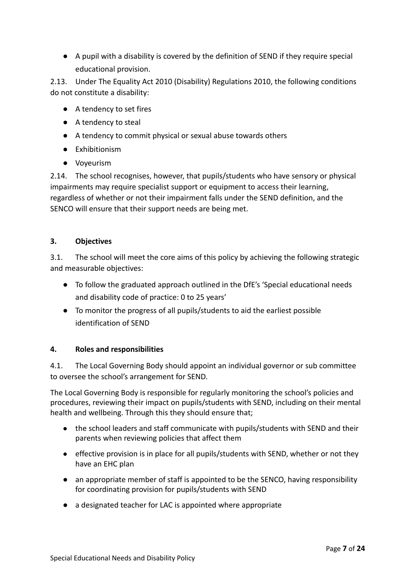● A pupil with a disability is covered by the definition of SEND if they require special educational provision.

2.13. Under The Equality Act 2010 (Disability) Regulations 2010, the following conditions do not constitute a disability:

- A tendency to set fires
- A tendency to steal
- A tendency to commit physical or sexual abuse towards others
- Exhibitionism
- Voyeurism

2.14. The school recognises, however, that pupils/students who have sensory or physical impairments may require specialist support or equipment to access their learning, regardless of whether or not their impairment falls under the SEND definition, and the SENCO will ensure that their support needs are being met.

#### **3. Objectives**

3.1. The school will meet the core aims of this policy by achieving the following strategic and measurable objectives:

- To follow the graduated approach outlined in the DfE's 'Special educational needs and disability code of practice: 0 to 25 years'
- To monitor the progress of all pupils/students to aid the earliest possible identification of SEND

#### **4. Roles and responsibilities**

4.1. The Local Governing Body should appoint an individual governor or sub committee to oversee the school's arrangement for SEND.

The Local Governing Body is responsible for regularly monitoring the school's policies and procedures, reviewing their impact on pupils/students with SEND, including on their mental health and wellbeing. Through this they should ensure that;

- the school leaders and staff communicate with pupils/students with SEND and their parents when reviewing policies that affect them
- effective provision is in place for all pupils/students with SEND, whether or not they have an EHC plan
- an appropriate member of staff is appointed to be the SENCO, having responsibility for coordinating provision for pupils/students with SEND
- a designated teacher for LAC is appointed where appropriate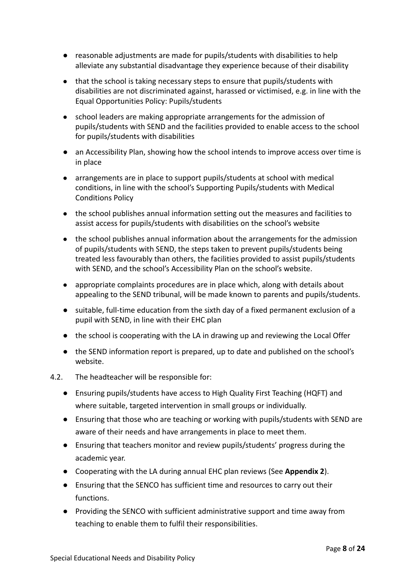- reasonable adjustments are made for pupils/students with disabilities to help alleviate any substantial disadvantage they experience because of their disability
- that the school is taking necessary steps to ensure that pupils/students with disabilities are not discriminated against, harassed or victimised, e.g. in line with the Equal Opportunities Policy: Pupils/students
- school leaders are making appropriate arrangements for the admission of pupils/students with SEND and the facilities provided to enable access to the school for pupils/students with disabilities
- an Accessibility Plan, showing how the school intends to improve access over time is in place
- arrangements are in place to support pupils/students at school with medical conditions, in line with the school's Supporting Pupils/students with Medical Conditions Policy
- the school publishes annual information setting out the measures and facilities to assist access for pupils/students with disabilities on the school's website
- the school publishes annual information about the arrangements for the admission of pupils/students with SEND, the steps taken to prevent pupils/students being treated less favourably than others, the facilities provided to assist pupils/students with SEND, and the school's Accessibility Plan on the school's website.
- appropriate complaints procedures are in place which, along with details about appealing to the SEND tribunal, will be made known to parents and pupils/students.
- suitable, full-time education from the sixth day of a fixed permanent exclusion of a pupil with SEND, in line with their EHC plan
- the school is cooperating with the LA in drawing up and reviewing the Local Offer
- the SEND information report is prepared, up to date and published on the school's website.
- 4.2. The headteacher will be responsible for:
	- Ensuring pupils/students have access to High Quality First Teaching (HQFT) and where suitable, targeted intervention in small groups or individually.
	- Ensuring that those who are teaching or working with pupils/students with SEND are aware of their needs and have arrangements in place to meet them.
	- Ensuring that teachers monitor and review pupils/students' progress during the academic year.
	- Cooperating with the LA during annual EHC plan reviews (See **Appendix 2**).
	- Ensuring that the SENCO has sufficient time and resources to carry out their functions.
	- Providing the SENCO with sufficient administrative support and time away from teaching to enable them to fulfil their responsibilities.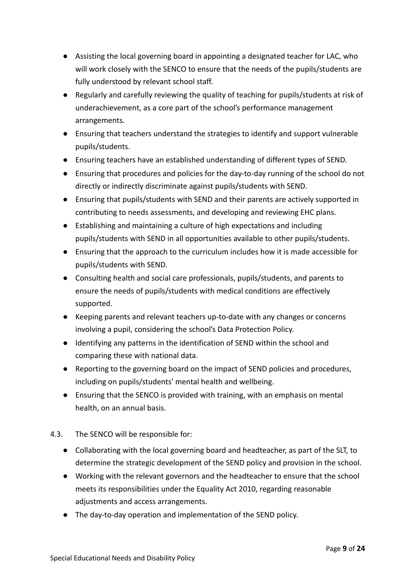- Assisting the local governing board in appointing a designated teacher for LAC, who will work closely with the SENCO to ensure that the needs of the pupils/students are fully understood by relevant school staff.
- Regularly and carefully reviewing the quality of teaching for pupils/students at risk of underachievement, as a core part of the school's performance management arrangements.
- Ensuring that teachers understand the strategies to identify and support vulnerable pupils/students.
- Ensuring teachers have an established understanding of different types of SEND.
- Ensuring that procedures and policies for the day-to-day running of the school do not directly or indirectly discriminate against pupils/students with SEND.
- Ensuring that pupils/students with SEND and their parents are actively supported in contributing to needs assessments, and developing and reviewing EHC plans.
- Establishing and maintaining a culture of high expectations and including pupils/students with SEND in all opportunities available to other pupils/students.
- Ensuring that the approach to the curriculum includes how it is made accessible for pupils/students with SEND.
- Consulting health and social care professionals, pupils/students, and parents to ensure the needs of pupils/students with medical conditions are effectively supported.
- Keeping parents and relevant teachers up-to-date with any changes or concerns involving a pupil, considering the school's Data Protection Policy.
- Identifying any patterns in the identification of SEND within the school and comparing these with national data.
- Reporting to the governing board on the impact of SEND policies and procedures, including on pupils/students' mental health and wellbeing.
- Ensuring that the SENCO is provided with training, with an emphasis on mental health, on an annual basis.
- 4.3. The SENCO will be responsible for:
	- Collaborating with the local governing board and headteacher, as part of the SLT, to determine the strategic development of the SEND policy and provision in the school.
	- Working with the relevant governors and the headteacher to ensure that the school meets its responsibilities under the Equality Act 2010, regarding reasonable adjustments and access arrangements.
	- The day-to-day operation and implementation of the SEND policy.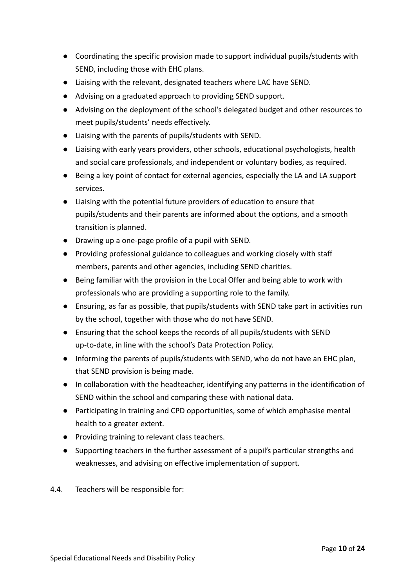- Coordinating the specific provision made to support individual pupils/students with SEND, including those with EHC plans.
- Liaising with the relevant, designated teachers where LAC have SEND.
- Advising on a graduated approach to providing SEND support.
- Advising on the deployment of the school's delegated budget and other resources to meet pupils/students' needs effectively.
- Liaising with the parents of pupils/students with SEND.
- Liaising with early years providers, other schools, educational psychologists, health and social care professionals, and independent or voluntary bodies, as required.
- Being a key point of contact for external agencies, especially the LA and LA support services.
- Liaising with the potential future providers of education to ensure that pupils/students and their parents are informed about the options, and a smooth transition is planned.
- Drawing up a one-page profile of a pupil with SEND.
- Providing professional guidance to colleagues and working closely with staff members, parents and other agencies, including SEND charities.
- Being familiar with the provision in the Local Offer and being able to work with professionals who are providing a supporting role to the family.
- Ensuring, as far as possible, that pupils/students with SEND take part in activities run by the school, together with those who do not have SEND.
- Ensuring that the school keeps the records of all pupils/students with SEND up-to-date, in line with the school's Data Protection Policy.
- Informing the parents of pupils/students with SEND, who do not have an EHC plan, that SEND provision is being made.
- In collaboration with the headteacher, identifying any patterns in the identification of SEND within the school and comparing these with national data.
- Participating in training and CPD opportunities, some of which emphasise mental health to a greater extent.
- Providing training to relevant class teachers.
- Supporting teachers in the further assessment of a pupil's particular strengths and weaknesses, and advising on effective implementation of support.
- 4.4. Teachers will be responsible for: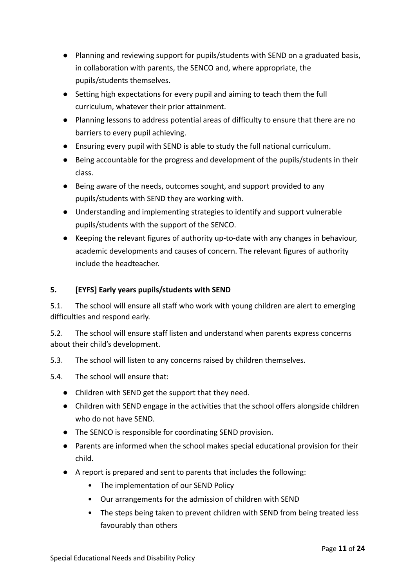- Planning and reviewing support for pupils/students with SEND on a graduated basis, in collaboration with parents, the SENCO and, where appropriate, the pupils/students themselves.
- Setting high expectations for every pupil and aiming to teach them the full curriculum, whatever their prior attainment.
- Planning lessons to address potential areas of difficulty to ensure that there are no barriers to every pupil achieving.
- Ensuring every pupil with SEND is able to study the full national curriculum.
- Being accountable for the progress and development of the pupils/students in their class.
- Being aware of the needs, outcomes sought, and support provided to any pupils/students with SEND they are working with.
- Understanding and implementing strategies to identify and support vulnerable pupils/students with the support of the SENCO.
- Keeping the relevant figures of authority up-to-date with any changes in behaviour, academic developments and causes of concern. The relevant figures of authority include the headteacher.

# **5. [EYFS] Early years pupils/students with SEND**

5.1. The school will ensure all staff who work with young children are alert to emerging difficulties and respond early.

5.2. The school will ensure staff listen and understand when parents express concerns about their child's development.

- 5.3. The school will listen to any concerns raised by children themselves.
- 5.4. The school will ensure that:
	- Children with SEND get the support that they need.
	- Children with SEND engage in the activities that the school offers alongside children who do not have SEND.
	- The SENCO is responsible for coordinating SEND provision.
	- Parents are informed when the school makes special educational provision for their child.
	- A report is prepared and sent to parents that includes the following:
		- The implementation of our SEND Policy
		- Our arrangements for the admission of children with SEND
		- The steps being taken to prevent children with SEND from being treated less favourably than others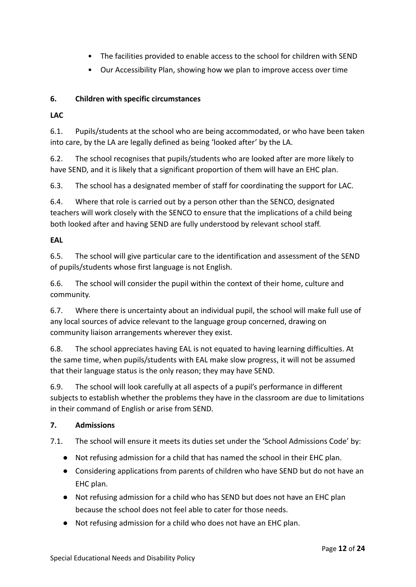- The facilities provided to enable access to the school for children with SEND
- Our Accessibility Plan, showing how we plan to improve access over time

# **6. Children with specific circumstances**

**LAC**

6.1. Pupils/students at the school who are being accommodated, or who have been taken into care, by the LA are legally defined as being 'looked after' by the LA.

6.2. The school recognises that pupils/students who are looked after are more likely to have SEND, and it is likely that a significant proportion of them will have an EHC plan.

6.3. The school has a designated member of staff for coordinating the support for LAC.

6.4. Where that role is carried out by a person other than the SENCO, designated teachers will work closely with the SENCO to ensure that the implications of a child being both looked after and having SEND are fully understood by relevant school staff.

#### **EAL**

6.5. The school will give particular care to the identification and assessment of the SEND of pupils/students whose first language is not English.

6.6. The school will consider the pupil within the context of their home, culture and community.

6.7. Where there is uncertainty about an individual pupil, the school will make full use of any local sources of advice relevant to the language group concerned, drawing on community liaison arrangements wherever they exist.

6.8. The school appreciates having EAL is not equated to having learning difficulties. At the same time, when pupils/students with EAL make slow progress, it will not be assumed that their language status is the only reason; they may have SEND.

6.9. The school will look carefully at all aspects of a pupil's performance in different subjects to establish whether the problems they have in the classroom are due to limitations in their command of English or arise from SEND.

#### **7. Admissions**

7.1. The school will ensure it meets its duties set under the 'School Admissions Code' by:

- Not refusing admission for a child that has named the school in their EHC plan.
- Considering applications from parents of children who have SEND but do not have an EHC plan.
- Not refusing admission for a child who has SEND but does not have an EHC plan because the school does not feel able to cater for those needs.
- Not refusing admission for a child who does not have an EHC plan.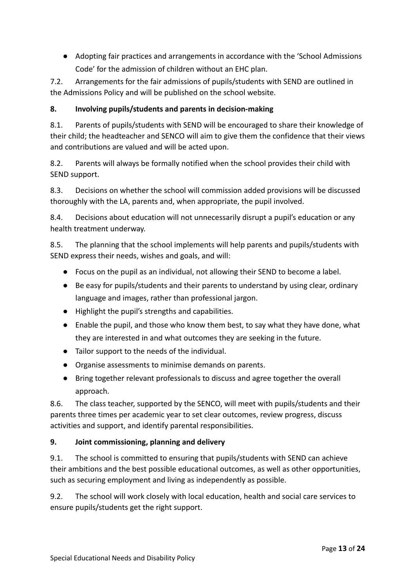● Adopting fair practices and arrangements in accordance with the 'School Admissions Code' for the admission of children without an EHC plan.

7.2. Arrangements for the fair admissions of pupils/students with SEND are outlined in the Admissions Policy and will be published on the school website.

# **8. Involving pupils/students and parents in decision-making**

8.1. Parents of pupils/students with SEND will be encouraged to share their knowledge of their child; the headteacher and SENCO will aim to give them the confidence that their views and contributions are valued and will be acted upon.

8.2. Parents will always be formally notified when the school provides their child with SEND support.

8.3. Decisions on whether the school will commission added provisions will be discussed thoroughly with the LA, parents and, when appropriate, the pupil involved.

8.4. Decisions about education will not unnecessarily disrupt a pupil's education or any health treatment underway.

8.5. The planning that the school implements will help parents and pupils/students with SEND express their needs, wishes and goals, and will:

- Focus on the pupil as an individual, not allowing their SEND to become a label.
- Be easy for pupils/students and their parents to understand by using clear, ordinary language and images, rather than professional jargon.
- Highlight the pupil's strengths and capabilities.
- Enable the pupil, and those who know them best, to say what they have done, what they are interested in and what outcomes they are seeking in the future.
- Tailor support to the needs of the individual.
- Organise assessments to minimise demands on parents.
- Bring together relevant professionals to discuss and agree together the overall approach.

8.6. The class teacher, supported by the SENCO, will meet with pupils/students and their parents three times per academic year to set clear outcomes, review progress, discuss activities and support, and identify parental responsibilities.

#### **9. Joint commissioning, planning and delivery**

9.1. The school is committed to ensuring that pupils/students with SEND can achieve their ambitions and the best possible educational outcomes, as well as other opportunities, such as securing employment and living as independently as possible.

9.2. The school will work closely with local education, health and social care services to ensure pupils/students get the right support.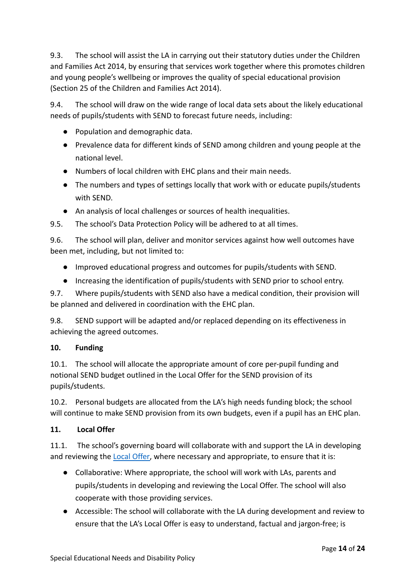9.3. The school will assist the LA in carrying out their statutory duties under the Children and Families Act 2014, by ensuring that services work together where this promotes children and young people's wellbeing or improves the quality of special educational provision (Section 25 of the Children and Families Act 2014).

9.4. The school will draw on the wide range of local data sets about the likely educational needs of pupils/students with SEND to forecast future needs, including:

- Population and demographic data.
- Prevalence data for different kinds of SEND among children and young people at the national level.
- Numbers of local children with EHC plans and their main needs.
- The numbers and types of settings locally that work with or educate pupils/students with SEND.
- An analysis of local challenges or sources of health inequalities.
- 9.5. The school's Data Protection Policy will be adhered to at all times.

9.6. The school will plan, deliver and monitor services against how well outcomes have been met, including, but not limited to:

- Improved educational progress and outcomes for pupils/students with SEND.
- Increasing the identification of pupils/students with SEND prior to school entry.

9.7. Where pupils/students with SEND also have a medical condition, their provision will be planned and delivered in coordination with the EHC plan.

9.8. SEND support will be adapted and/or replaced depending on its effectiveness in achieving the agreed outcomes.

#### **10. Funding**

10.1. The school will allocate the appropriate amount of core per-pupil funding and notional SEND budget outlined in the Local Offer for the SEND provision of its pupils/students.

10.2. Personal budgets are allocated from the LA's high needs funding block; the school will continue to make SEND provision from its own budgets, even if a pupil has an EHC plan.

#### **11. Local Offer**

11.1. The school's governing board will collaborate with and support the LA in developing and reviewing the **Local Offer**, where necessary and appropriate, to ensure that it is:

- Collaborative: Where appropriate, the school will work with LAs, parents and pupils/students in developing and reviewing the Local Offer. The school will also cooperate with those providing services.
- Accessible: The school will collaborate with the LA during development and review to ensure that the LA's Local Offer is easy to understand, factual and jargon-free; is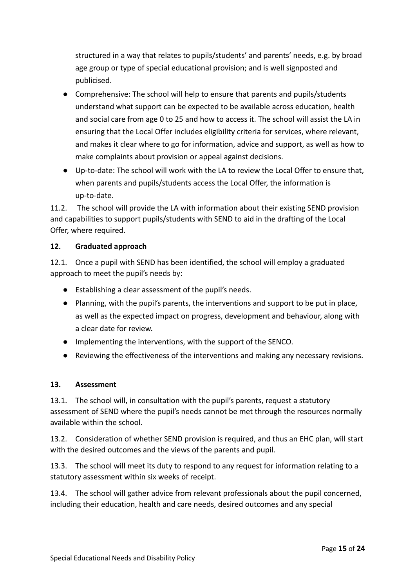structured in a way that relates to pupils/students' and parents' needs, e.g. by broad age group or type of special educational provision; and is well signposted and publicised.

- Comprehensive: The school will help to ensure that parents and pupils/students understand what support can be expected to be available across education, health and social care from age 0 to 25 and how to access it. The school will assist the LA in ensuring that the Local Offer includes eligibility criteria for services, where relevant, and makes it clear where to go for information, advice and support, as well as how to make complaints about provision or appeal against decisions.
- Up-to-date: The school will work with the LA to review the Local Offer to ensure that, when parents and pupils/students access the Local Offer, the information is up-to-date.

11.2. The school will provide the LA with information about their existing SEND provision and capabilities to support pupils/students with SEND to aid in the drafting of the Local Offer, where required.

## **12. Graduated approach**

12.1. Once a pupil with SEND has been identified, the school will employ a graduated approach to meet the pupil's needs by:

- Establishing a clear assessment of the pupil's needs.
- Planning, with the pupil's parents, the interventions and support to be put in place, as well as the expected impact on progress, development and behaviour, along with a clear date for review.
- Implementing the interventions, with the support of the SENCO.
- Reviewing the effectiveness of the interventions and making any necessary revisions.

# **13. Assessment**

13.1. The school will, in consultation with the pupil's parents, request a statutory assessment of SEND where the pupil's needs cannot be met through the resources normally available within the school.

13.2. Consideration of whether SEND provision is required, and thus an EHC plan, will start with the desired outcomes and the views of the parents and pupil.

13.3. The school will meet its duty to respond to any request for information relating to a statutory assessment within six weeks of receipt.

13.4. The school will gather advice from relevant professionals about the pupil concerned, including their education, health and care needs, desired outcomes and any special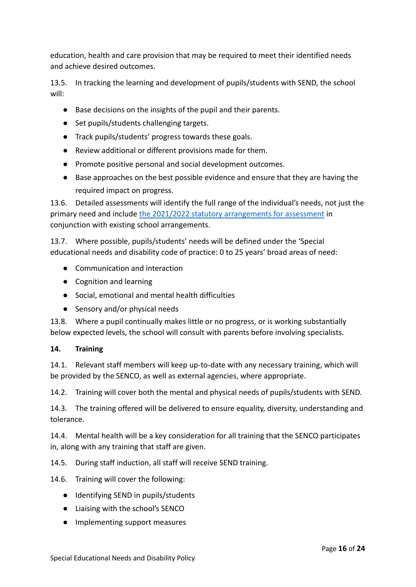education, health and care provision that may be required to meet their identified needs and achieve desired outcomes.

13.5. In tracking the learning and development of pupils/students with SEND, the school will:

- Base decisions on the insights of the pupil and their parents.
- Set pupils/students challenging targets.
- Track pupils/students' progress towards these goals.
- Review additional or different provisions made for them.
- Promote positive personal and social development outcomes.
- Base approaches on the best possible evidence and ensure that they are having the required impact on progress.

13.6. Detailed assessments will identify the full range of the individual's needs, not just the primary need and include [the 2021/2022 statutory arrangements](https://assets.publishing.service.gov.uk/government/uploads/system/uploads/attachment_data/file/903458/Engagement_Model_Guidance_2020.pdf) for assessment in conjunction with existing school arrangements.

13.7. Where possible, pupils/students' needs will be defined under the 'Special educational needs and disability code of practice: 0 to 25 years' broad areas of need:

- Communication and interaction
- Cognition and learning
- Social, emotional and mental health difficulties
- Sensory and/or physical needs

13.8. Where a pupil continually makes little or no progress, or is working substantially below expected levels, the school will consult with parents before involving specialists.

#### **14. Training**

14.1. Relevant staff members will keep up-to-date with any necessary training, which will be provided by the SENCO, as well as external agencies, where appropriate.

14.2. Training will cover both the mental and physical needs of pupils/students with SEND.

14.3. The training offered will be delivered to ensure equality, diversity, understanding and tolerance.

14.4. Mental health will be a key consideration for all training that the SENCO participates in, along with any training that staff are given.

14.5. During staff induction, all staff will receive SEND training.

14.6. Training will cover the following:

- Identifying SEND in pupils/students
- Liaising with the school's SENCO
- Implementing support measures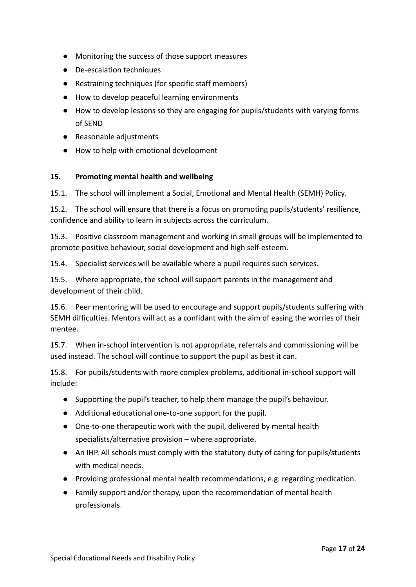- Monitoring the success of those support measures
- De-escalation techniques
- Restraining techniques (for specific staff members)
- How to develop peaceful learning environments
- How to develop lessons so they are engaging for pupils/students with varying forms of SEND
- Reasonable adjustments
- How to help with emotional development

#### **15. Promoting mental health and wellbeing**

15.1. The school will implement a Social, Emotional and Mental Health (SEMH) Policy.

15.2. The school will ensure that there is a focus on promoting pupils/students' resilience, confidence and ability to learn in subjects across the curriculum.

15.3. Positive classroom management and working in small groups will be implemented to promote positive behaviour, social development and high self-esteem.

15.4. Specialist services will be available where a pupil requires such services.

15.5. Where appropriate, the school will support parents in the management and development of their child.

15.6. Peer mentoring will be used to encourage and support pupils/students suffering with SEMH difficulties. Mentors will act as a confidant with the aim of easing the worries of their mentee.

15.7. When in-school intervention is not appropriate, referrals and commissioning will be used instead. The school will continue to support the pupil as best it can.

15.8. For pupils/students with more complex problems, additional in-school support will include:

- Supporting the pupil's teacher, to help them manage the pupil's behaviour.
- Additional educational one-to-one support for the pupil.
- One-to-one therapeutic work with the pupil, delivered by mental health specialists/alternative provision – where appropriate.
- An IHP. All schools must comply with the statutory duty of caring for pupils/students with medical needs.
- Providing professional mental health recommendations, e.g. regarding medication.
- Family support and/or therapy, upon the recommendation of mental health professionals.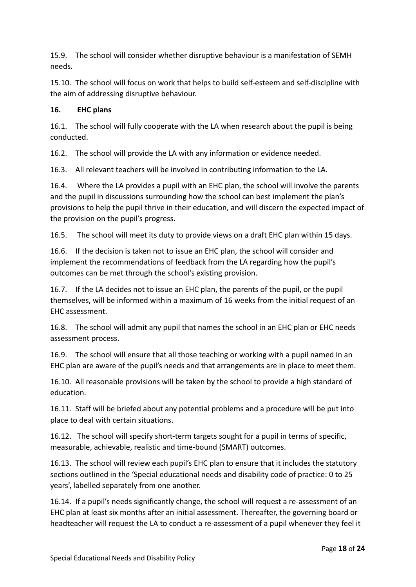15.9. The school will consider whether disruptive behaviour is a manifestation of SEMH needs.

15.10. The school will focus on work that helps to build self-esteem and self-discipline with the aim of addressing disruptive behaviour.

## **16. EHC plans**

16.1. The school will fully cooperate with the LA when research about the pupil is being conducted.

16.2. The school will provide the LA with any information or evidence needed.

16.3. All relevant teachers will be involved in contributing information to the LA.

16.4. Where the LA provides a pupil with an EHC plan, the school will involve the parents and the pupil in discussions surrounding how the school can best implement the plan's provisions to help the pupil thrive in their education, and will discern the expected impact of the provision on the pupil's progress.

16.5. The school will meet its duty to provide views on a draft EHC plan within 15 days.

16.6. If the decision is taken not to issue an EHC plan, the school will consider and implement the recommendations of feedback from the LA regarding how the pupil's outcomes can be met through the school's existing provision.

16.7. If the LA decides not to issue an EHC plan, the parents of the pupil, or the pupil themselves, will be informed within a maximum of 16 weeks from the initial request of an EHC assessment.

16.8. The school will admit any pupil that names the school in an EHC plan or EHC needs assessment process.

16.9. The school will ensure that all those teaching or working with a pupil named in an EHC plan are aware of the pupil's needs and that arrangements are in place to meet them.

16.10. All reasonable provisions will be taken by the school to provide a high standard of education.

16.11. Staff will be briefed about any potential problems and a procedure will be put into place to deal with certain situations.

16.12. The school will specify short-term targets sought for a pupil in terms of specific, measurable, achievable, realistic and time-bound (SMART) outcomes.

16.13. The school will review each pupil's EHC plan to ensure that it includes the statutory sections outlined in the 'Special educational needs and disability code of practice: 0 to 25 years', labelled separately from one another.

16.14. If a pupil's needs significantly change, the school will request a re-assessment of an EHC plan at least six months after an initial assessment. Thereafter, the governing board or headteacher will request the LA to conduct a re-assessment of a pupil whenever they feel it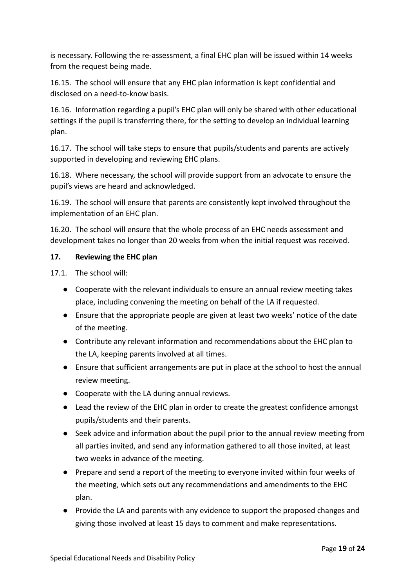is necessary. Following the re-assessment, a final EHC plan will be issued within 14 weeks from the request being made.

16.15. The school will ensure that any EHC plan information is kept confidential and disclosed on a need-to-know basis.

16.16. Information regarding a pupil's EHC plan will only be shared with other educational settings if the pupil is transferring there, for the setting to develop an individual learning plan.

16.17. The school will take steps to ensure that pupils/students and parents are actively supported in developing and reviewing EHC plans.

16.18. Where necessary, the school will provide support from an advocate to ensure the pupil's views are heard and acknowledged.

16.19. The school will ensure that parents are consistently kept involved throughout the implementation of an EHC plan.

16.20. The school will ensure that the whole process of an EHC needs assessment and development takes no longer than 20 weeks from when the initial request was received.

#### **17. Reviewing the EHC plan**

17.1. The school will:

- Cooperate with the relevant individuals to ensure an annual review meeting takes place, including convening the meeting on behalf of the LA if requested.
- Ensure that the appropriate people are given at least two weeks' notice of the date of the meeting.
- Contribute any relevant information and recommendations about the EHC plan to the LA, keeping parents involved at all times.
- Ensure that sufficient arrangements are put in place at the school to host the annual review meeting.
- Cooperate with the LA during annual reviews.
- Lead the review of the EHC plan in order to create the greatest confidence amongst pupils/students and their parents.
- Seek advice and information about the pupil prior to the annual review meeting from all parties invited, and send any information gathered to all those invited, at least two weeks in advance of the meeting.
- Prepare and send a report of the meeting to everyone invited within four weeks of the meeting, which sets out any recommendations and amendments to the EHC plan.
- Provide the LA and parents with any evidence to support the proposed changes and giving those involved at least 15 days to comment and make representations.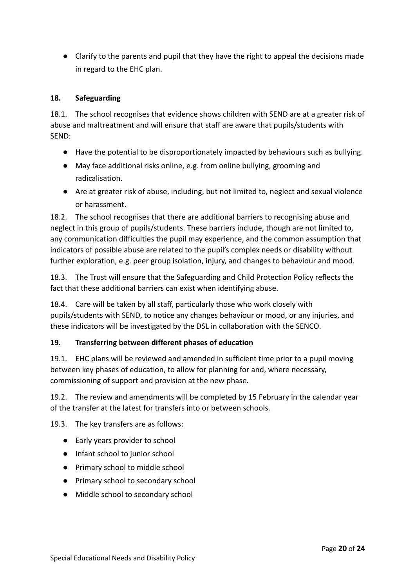● Clarify to the parents and pupil that they have the right to appeal the decisions made in regard to the EHC plan.

#### **18. Safeguarding**

18.1. The school recognises that evidence shows children with SEND are at a greater risk of abuse and maltreatment and will ensure that staff are aware that pupils/students with SEND:

- Have the potential to be disproportionately impacted by behaviours such as bullying.
- May face additional risks online, e.g. from online bullying, grooming and radicalisation.
- Are at greater risk of abuse, including, but not limited to, neglect and sexual violence or harassment.

18.2. The school recognises that there are additional barriers to recognising abuse and neglect in this group of pupils/students. These barriers include, though are not limited to, any communication difficulties the pupil may experience, and the common assumption that indicators of possible abuse are related to the pupil's complex needs or disability without further exploration, e.g. peer group isolation, injury, and changes to behaviour and mood.

18.3. The Trust will ensure that the Safeguarding and Child Protection Policy reflects the fact that these additional barriers can exist when identifying abuse.

18.4. Care will be taken by all staff, particularly those who work closely with pupils/students with SEND, to notice any changes behaviour or mood, or any injuries, and these indicators will be investigated by the DSL in collaboration with the SENCO.

#### **19. Transferring between different phases of education**

19.1. EHC plans will be reviewed and amended in sufficient time prior to a pupil moving between key phases of education, to allow for planning for and, where necessary, commissioning of support and provision at the new phase.

19.2. The review and amendments will be completed by 15 February in the calendar year of the transfer at the latest for transfers into or between schools.

19.3. The key transfers are as follows:

- Early years provider to school
- Infant school to junior school
- Primary school to middle school
- Primary school to secondary school
- Middle school to secondary school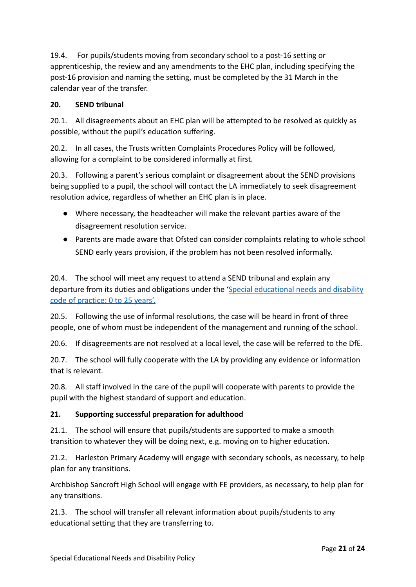19.4. For pupils/students moving from secondary school to a post-16 setting or apprenticeship, the review and any amendments to the EHC plan, including specifying the post-16 provision and naming the setting, must be completed by the 31 March in the calendar year of the transfer.

#### **20. SEND tribunal**

20.1. All disagreements about an EHC plan will be attempted to be resolved as quickly as possible, without the pupil's education suffering.

20.2. In all cases, the Trusts written Complaints Procedures Policy will be followed, allowing for a complaint to be considered informally at first.

20.3. Following a parent's serious complaint or disagreement about the SEND provisions being supplied to a pupil, the school will contact the LA immediately to seek disagreement resolution advice, regardless of whether an EHC plan is in place.

- Where necessary, the headteacher will make the relevant parties aware of the disagreement resolution service.
- Parents are made aware that Ofsted can consider complaints relating to whole school SEND early years provision, if the problem has not been resolved informally.

20.4. The school will meet any request to attend a SEND tribunal and explain any departure from its duties and obligations under the '[Special educational needs and disability](https://www.gov.uk/government/publications/send-code-of-practice-0-to-25) [code of practice: 0 to 25 years'.](https://www.gov.uk/government/publications/send-code-of-practice-0-to-25)

20.5. Following the use of informal resolutions, the case will be heard in front of three people, one of whom must be independent of the management and running of the school.

20.6. If disagreements are not resolved at a local level, the case will be referred to the DfE.

20.7. The school will fully cooperate with the LA by providing any evidence or information that is relevant.

20.8. All staff involved in the care of the pupil will cooperate with parents to provide the pupil with the highest standard of support and education.

# **21. Supporting successful preparation for adulthood**

21.1. The school will ensure that pupils/students are supported to make a smooth transition to whatever they will be doing next, e.g. moving on to higher education.

21.2. Harleston Primary Academy will engage with secondary schools, as necessary, to help plan for any transitions.

Archbishop Sancroft High School will engage with FE providers, as necessary, to help plan for any transitions.

21.3. The school will transfer all relevant information about pupils/students to any educational setting that they are transferring to.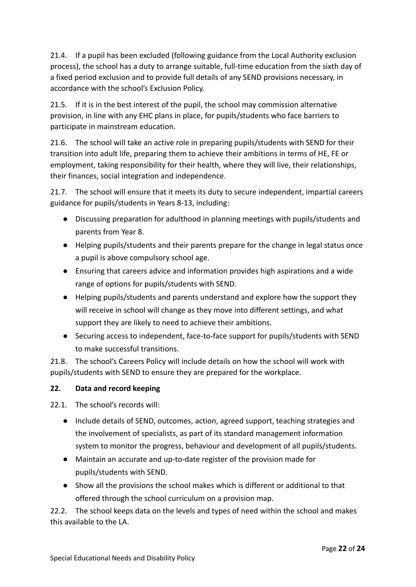21.4. If a pupil has been excluded (following guidance from the Local Authority exclusion process), the school has a duty to arrange suitable, full-time education from the sixth day of a fixed period exclusion and to provide full details of any SEND provisions necessary, in accordance with the school's Exclusion Policy.

21.5. If it is in the best interest of the pupil, the school may commission alternative provision, in line with any EHC plans in place, for pupils/students who face barriers to participate in mainstream education.

21.6. The school will take an active role in preparing pupils/students with SEND for their transition into adult life, preparing them to achieve their ambitions in terms of HE, FE or employment, taking responsibility for their health, where they will live, their relationships, their finances, social integration and independence.

21.7. The school will ensure that it meets its duty to secure independent, impartial careers guidance for pupils/students in Years 8-13, including:

- Discussing preparation for adulthood in planning meetings with pupils/students and parents from Year 8.
- Helping pupils/students and their parents prepare for the change in legal status once a pupil is above compulsory school age.
- Ensuring that careers advice and information provides high aspirations and a wide range of options for pupils/students with SEND.
- Helping pupils/students and parents understand and explore how the support they will receive in school will change as they move into different settings, and what support they are likely to need to achieve their ambitions.
- Securing access to independent, face-to-face support for pupils/students with SEND to make successful transitions.

21.8. The school's Careers Policy will include details on how the school will work with pupils/students with SEND to ensure they are prepared for the workplace.

# **22. Data and record keeping**

22.1. The school's records will:

- Include details of SEND, outcomes, action, agreed support, teaching strategies and the involvement of specialists, as part of its standard management information system to monitor the progress, behaviour and development of all pupils/students.
- Maintain an accurate and up-to-date register of the provision made for pupils/students with SEND.
- Show all the provisions the school makes which is different or additional to that offered through the school curriculum on a provision map.

22.2. The school keeps data on the levels and types of need within the school and makes this available to the LA.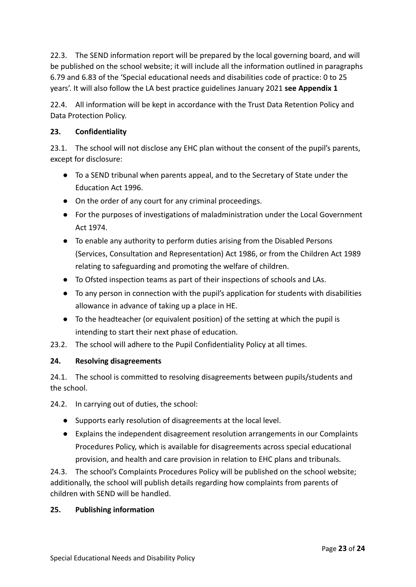22.3. The SEND information report will be prepared by the local governing board, and will be published on the school website; it will include all the information outlined in paragraphs 6.79 and 6.83 of the 'Special educational needs and disabilities code of practice: 0 to 25 years'. It will also follow the LA best practice guidelines January 2021 **see Appendix 1**

22.4. All information will be kept in accordance with the Trust Data Retention Policy and Data Protection Policy.

#### **23. Confidentiality**

23.1. The school will not disclose any EHC plan without the consent of the pupil's parents, except for disclosure:

- To a SEND tribunal when parents appeal, and to the Secretary of State under the Education Act 1996.
- On the order of any court for any criminal proceedings.
- For the purposes of investigations of maladministration under the Local Government Act 1974.
- To enable any authority to perform duties arising from the Disabled Persons (Services, Consultation and Representation) Act 1986, or from the Children Act 1989 relating to safeguarding and promoting the welfare of children.
- To Ofsted inspection teams as part of their inspections of schools and LAs.
- To any person in connection with the pupil's application for students with disabilities allowance in advance of taking up a place in HE.
- To the headteacher (or equivalent position) of the setting at which the pupil is intending to start their next phase of education.
- 23.2. The school will adhere to the Pupil Confidentiality Policy at all times.

#### **24. Resolving disagreements**

24.1. The school is committed to resolving disagreements between pupils/students and the school.

24.2. In carrying out of duties, the school:

- Supports early resolution of disagreements at the local level.
- Explains the independent disagreement resolution arrangements in our Complaints Procedures Policy, which is available for disagreements across special educational provision, and health and care provision in relation to EHC plans and tribunals.

24.3. The school's Complaints Procedures Policy will be published on the school website; additionally, the school will publish details regarding how complaints from parents of children with SEND will be handled.

#### **25. Publishing information**